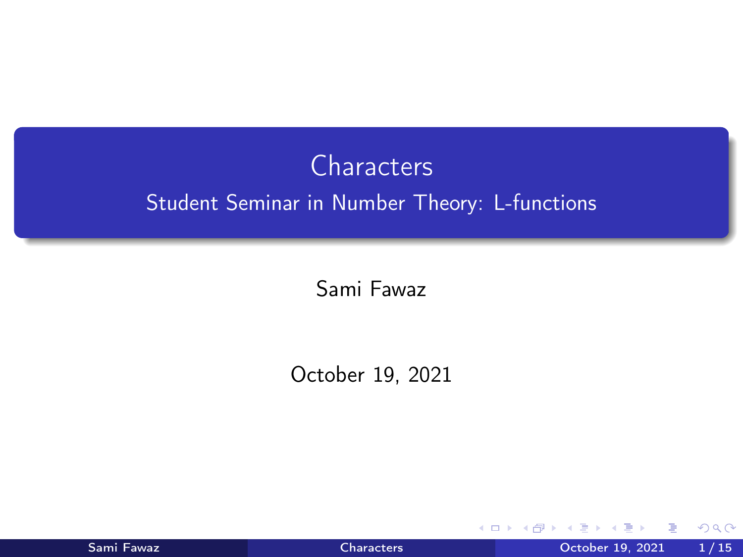# <span id="page-0-0"></span>**Characters** Student Seminar in Number Theory: L-functions

Sami Fawaz

October 19, 2021

| Sami Fawaz |  |
|------------|--|
|            |  |

4 0 8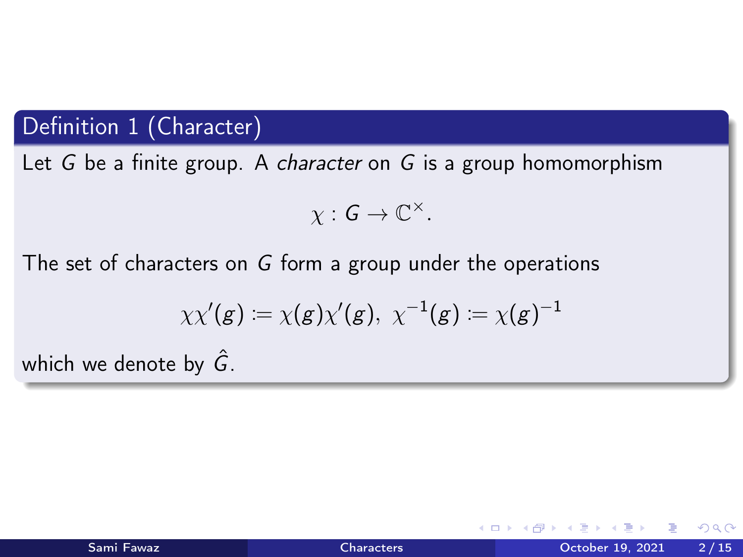# Definition 1 (Character)

Let G be a finite group. A character on G is a group homomorphism

$$
\chi: G \to \mathbb{C}^{\times}.
$$

The set of characters on G form a group under the operations

$$
\chi \chi'(g) \coloneqq \chi(g) \chi'(g), \ \chi^{-1}(g) \coloneqq \chi(g)^{-1}
$$

which we denote by  $\hat{G}$ .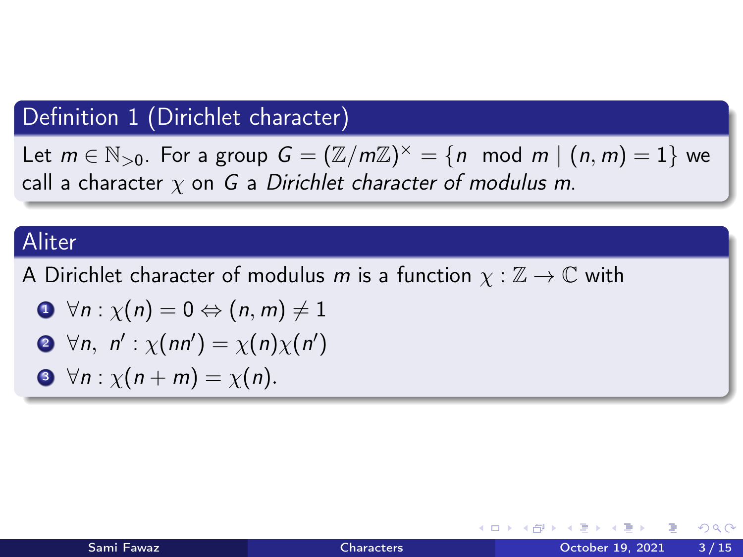# Definition 1 (Dirichlet character)

Let  $m \in \mathbb{N}_{>0}$ . For a group  $G = (\mathbb{Z}/m\mathbb{Z})^{\times} = \{n \mod m \mid (n,m) = 1\}$  we call a character  $\chi$  on G a Dirichlet character of modulus m.

### Aliter

A Dirichlet character of modulus m is a function  $\chi : \mathbb{Z} \to \mathbb{C}$  with

$$
\bullet\ \forall n:\chi(n)=0\Leftrightarrow(n,m)\neq1
$$

$$
\bullet \ \forall n, \ n': \chi(nn') = \chi(n)\chi(n')
$$

$$
\bullet \ \forall n: \chi(n+m)=\chi(n).
$$

 $QQQ$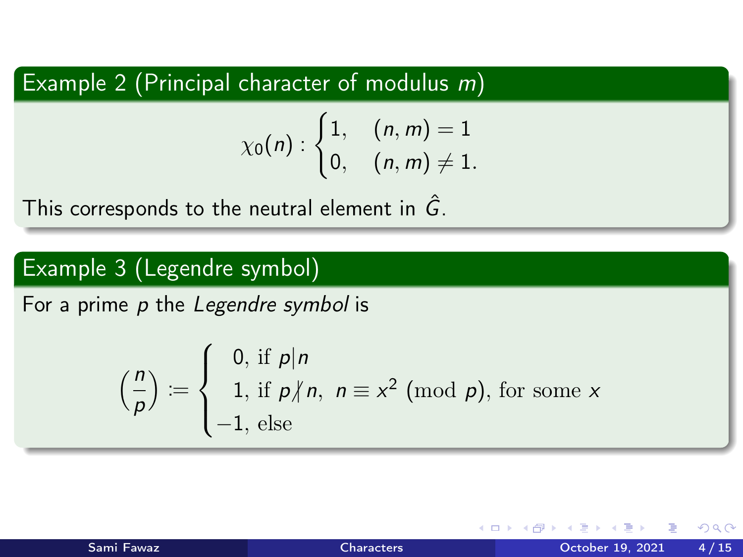Example 2 (Principal character of modulus  $m$ )

$$
\chi_0(n): \begin{cases} 1, & (n,m)=1\\ 0, & (n,m)\neq 1. \end{cases}
$$

This corresponds to the neutral element in  $\hat{G}$ .

# Example 3 (Legendre symbol)

For a prime p the Legendre symbol is

$$
\left(\frac{n}{p}\right) := \begin{cases} 0, & \text{if } p \mid n \\ 1, & \text{if } p \nmid n, \ n \equiv x^2 \pmod{p}, \text{ for some } x \\ -1, & \text{else} \end{cases}
$$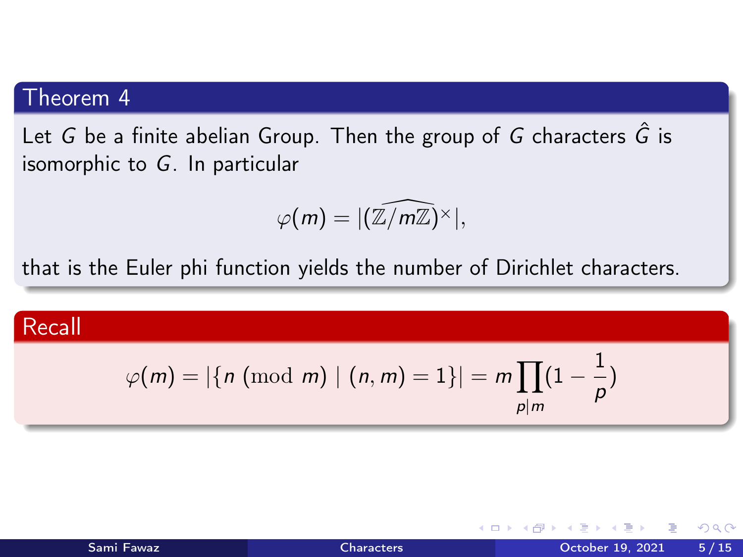Let G be a finite abelian Group. Then the group of G characters  $\hat{G}$  is isomorphic to G. In particular

$$
\varphi(m)=|(\widehat{\mathbb{Z}/m\mathbb{Z}})^{\times}|,
$$

that is the Euler phi function yields the number of Dirichlet characters.

#### Recall

$$
\varphi(m)=|\{n \ (\mathrm{mod}\,\, m)\mid (n,m)=1\}|=m\prod_{p|m}(1-\frac{1}{p})
$$

| Sami Fawaz |  |  |
|------------|--|--|
|            |  |  |

4 0 8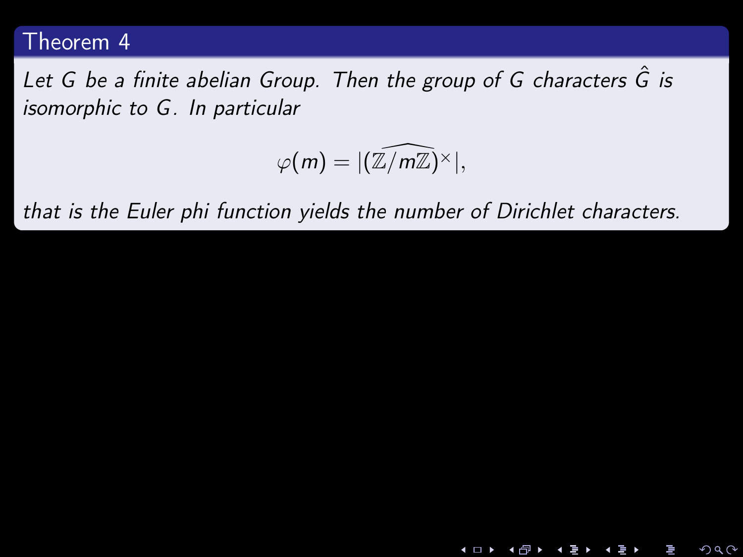Let G be a finite abelian Group. Then the group of G characters  $\hat{G}$  is isomorphic to G. In particular

$$
\varphi(m)=|(\widehat{\mathbb{Z}/m\mathbb{Z}})^{\times}|,
$$

4 **D F** 

∢ ⁄ਚ

 $2Q$ 

that is the Euler phi function yields the number of Dirichlet characters.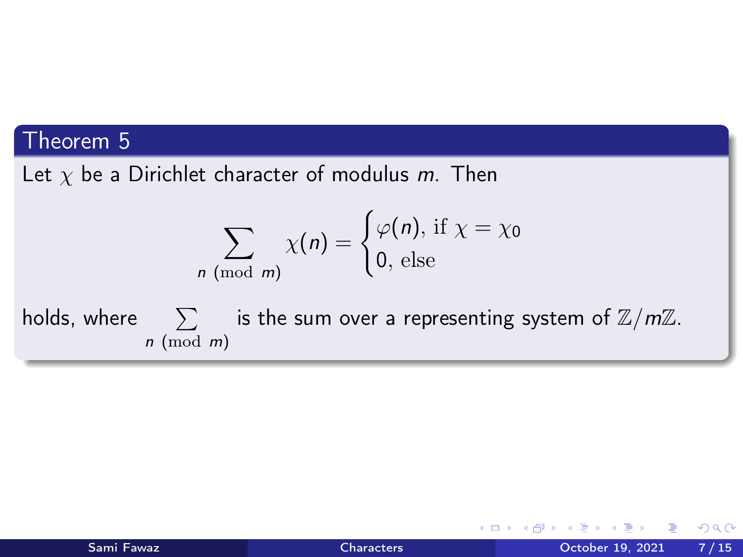Let  $\chi$  be a Dirichlet character of modulus m. Then

$$
\sum_{n \pmod{m}} \chi(n) = \begin{cases} \varphi(n), \text{ if } \chi = \chi_0 \\ 0, \text{ else} \end{cases}
$$

holds, where  $\sum$  is the sum over a representing system of  $\mathbb{Z}/m\mathbb{Z}$ .  $n \pmod{m}$ 

4 D F

活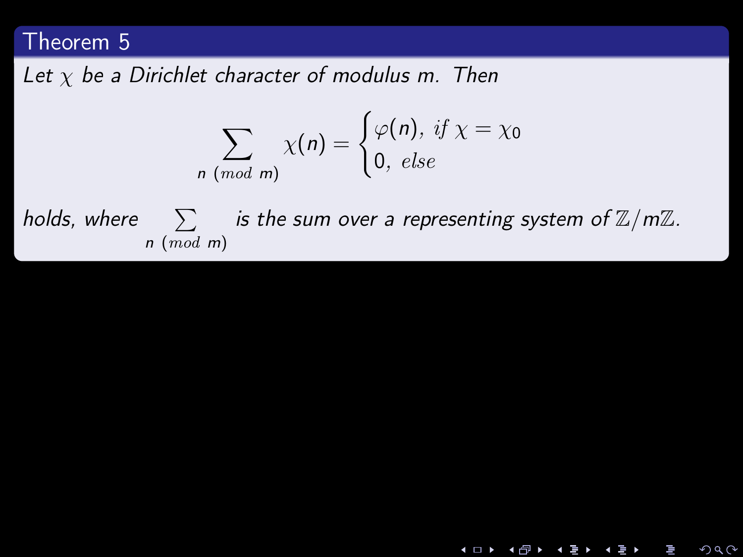Let  $\chi$  be a Dirichlet character of modulus m. Then

$$
\sum_{n \pmod{m}} \chi(n) = \begin{cases} \varphi(n), \text{ if } x = \chi_0 \\ 0, \text{ else} \end{cases}
$$

holds, where  $\sum$  is the sum over a representing system of  $\mathbb{Z}/m\mathbb{Z}$ . n (mod m)

 $2Q$ 

**◀□▶ ◀***団***▶ ◀**글▶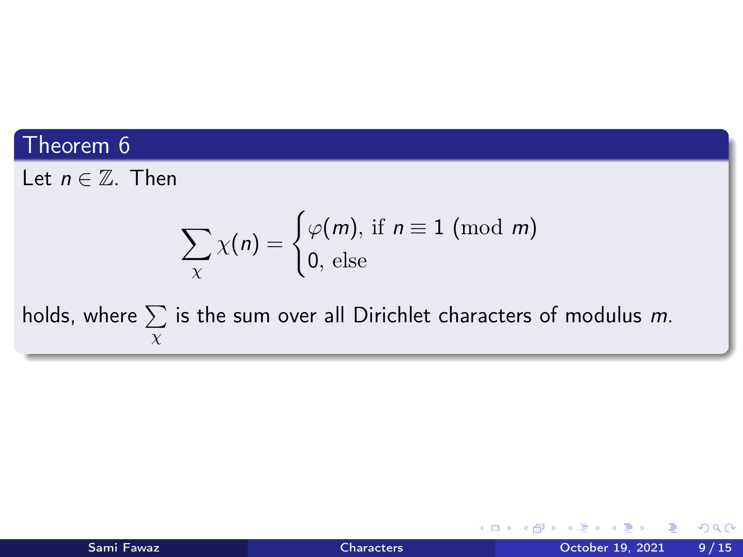Let  $n \in \mathbb{Z}$ . Then

$$
\sum_{\chi} \chi(n) = \begin{cases} \varphi(m), \text{ if } n \equiv 1 \pmod{m} \\ 0, \text{ else} \end{cases}
$$

holds, where  $\sum$  is the sum over all Dirichlet characters of modulus  $m$ . χ

K □ ▶ K 何 ▶ K ∃ ▶ K

活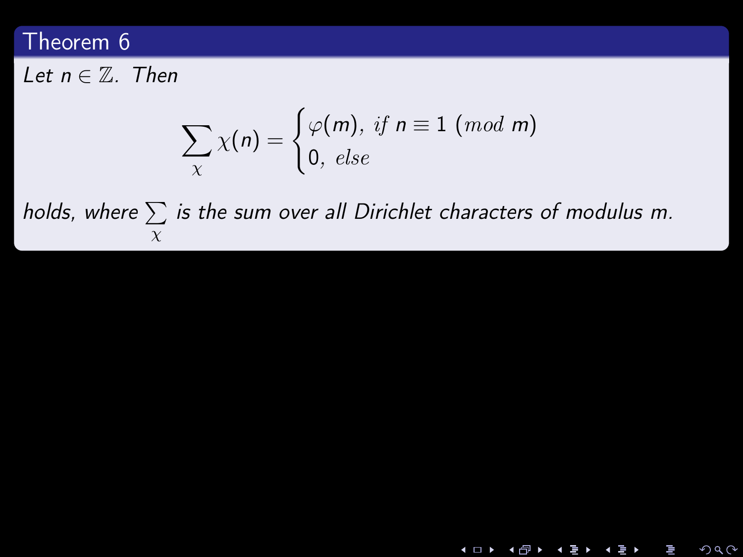Let  $n \in \mathbb{Z}$ . Then

$$
\sum_{\chi} \chi(n) = \begin{cases} \varphi(m), \text{ if } n \equiv 1 \ (mod \ m) \\ 0, \text{ else} \end{cases}
$$

holds, where  $\sum$  is the sum over all Dirichlet characters of modulus m. χ

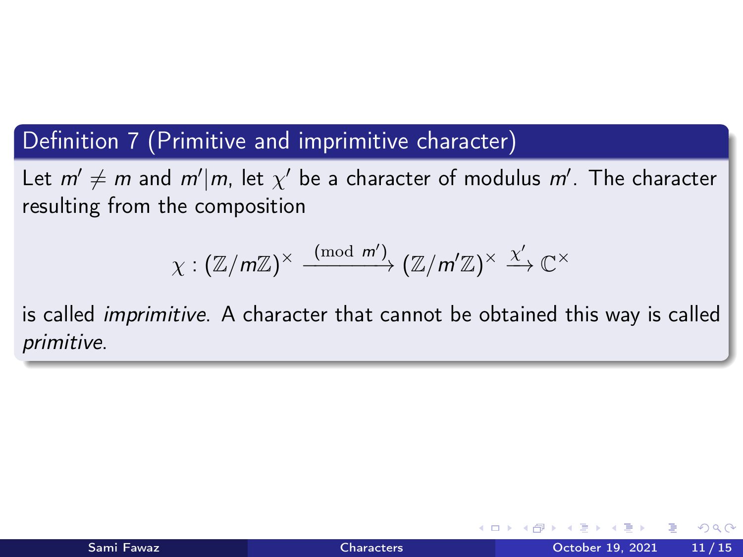## Definition 7 (Primitive and imprimitive character)

Let  $m' \neq m$  and  $m'|m$ , let  $\chi'$  be a character of modulus  $m'$ . The character resulting from the composition

$$
\chi: (\mathbb{Z}/m\mathbb{Z})^\times \xrightarrow{\pmod{m'}} (\mathbb{Z}/m'\mathbb{Z})^\times \xrightarrow{\chi'} \mathbb{C}^\times
$$

is called imprimitive. A character that cannot be obtained this way is called primitive.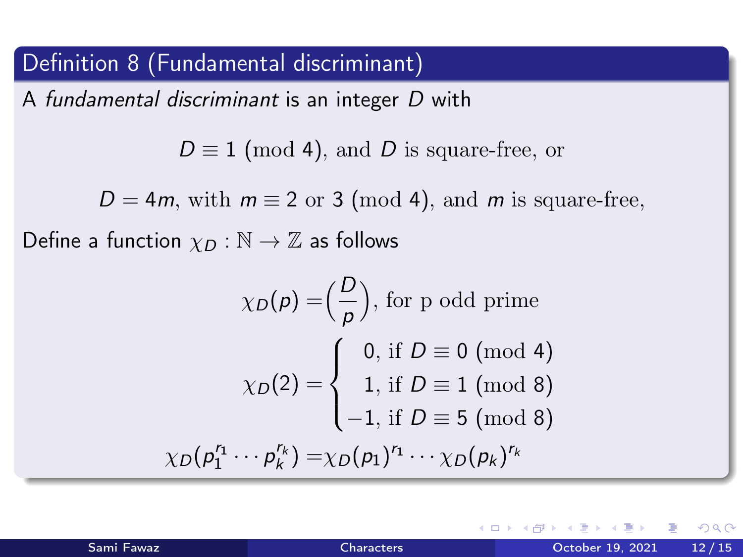# Definition 8 (Fundamental discriminant)

A fundamental discriminant is an integer D with

 $D \equiv 1 \pmod{4}$ , and D is square-free, or

 $D = 4m$ , with  $m \equiv 2$  or 3 (mod 4), and m is square-free,

Define a function  $\chi_D : \mathbb{N} \to \mathbb{Z}$  as follows

$$
\chi_D(p) = \left(\frac{D}{p}\right), \text{ for p odd prime}
$$

$$
\chi_D(2) = \begin{cases} 0, \text{ if } D \equiv 0 \text{ (mod 4)}\\ 1, \text{ if } D \equiv 1 \text{ (mod 8)}\\ -1, \text{ if } D \equiv 5 \text{ (mod 8)}\\ \chi_D(p_1^{r_1} \cdots p_k^{r_k}) = \chi_D(p_1)^{r_1} \cdots \chi_D(p_k)^{r_k} \end{cases}
$$

 $\Omega$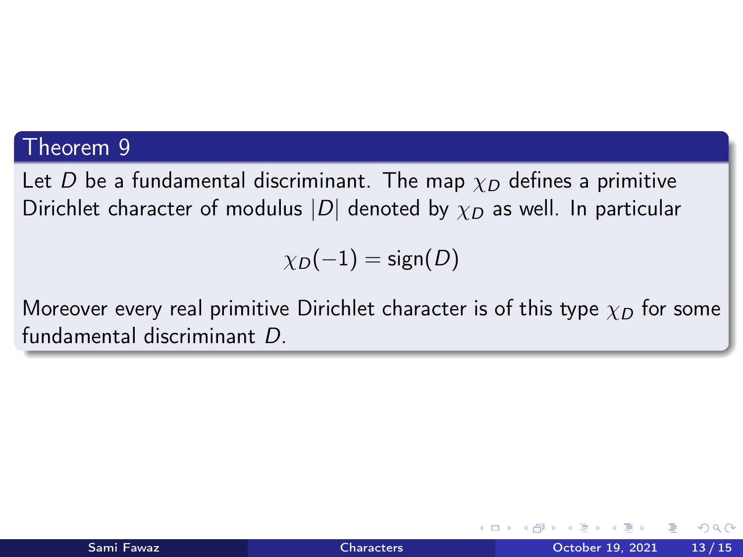Let D be a fundamental discriminant. The map  $\chi_D$  defines a primitive Dirichlet character of modulus  $|D|$  denoted by  $\chi_D$  as well. In particular

 $\chi_D(-1) = \text{sign}(D)$ 

Moreover every real primitive Dirichlet character is of this type  $\chi_D$  for some fundamental discriminant D.

つへへ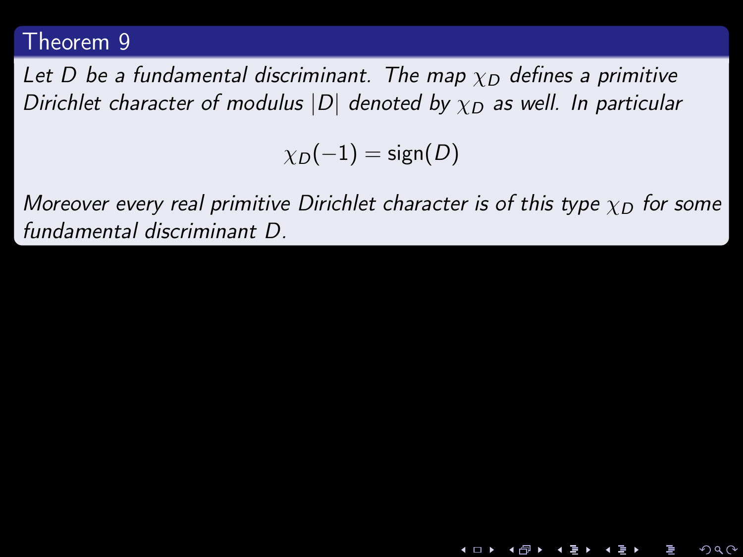Let D be a fundamental discriminant. The map  $\chi_D$  defines a primitive Dirichlet character of modulus  $|D|$  denoted by  $\chi_D$  as well. In particular

 $\chi_D(-1) = \text{sign}(D)$ 

Moreover every real primitive Dirichlet character is of this type  $\chi_D$  for some fundamental discriminant D.